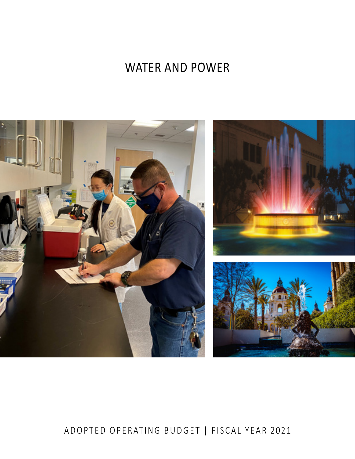# WATER AND POWER



# ADOPTED OPERATING BUDGET | FISCAL YEAR 2021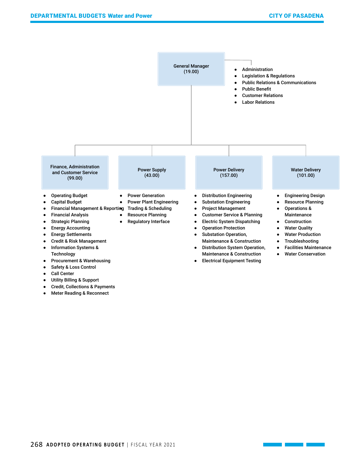

● Meter Reading & Reconnect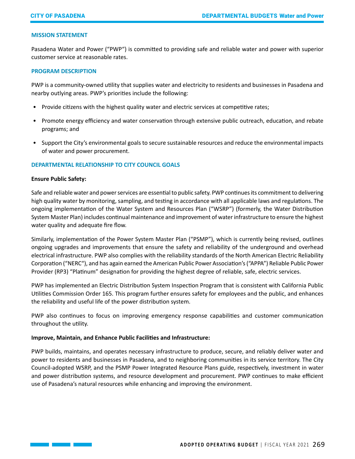#### **MISSION STATEMENT**

Pasadena Water and Power ("PWP") is committed to providing safe and reliable water and power with superior customer service at reasonable rates.

#### **PROGRAM DESCRIPTION**

PWP is a community-owned utility that supplies water and electricity to residents and businesses in Pasadena and nearby outlying areas. PWP's priorities include the following:

- Provide citizens with the highest quality water and electric services at competitive rates;
- Promote energy efficiency and water conservation through extensive public outreach, education, and rebate programs; and
- Support the City's environmental goals to secure sustainable resources and reduce the environmental impacts of water and power procurement.

### **DEPARTMENTAL RELATIONSHIP TO CITY COUNCIL GOALS**

#### **Ensure Public Safety:**

Safe and reliable water and power services are essential to public safety. PWP continues its commitment to delivering high quality water by monitoring, sampling, and testing in accordance with all applicable laws and regulations. The ongoing implementation of the Water System and Resources Plan ("WSRP") (formerly, the Water Distribution System Master Plan) includes continual maintenance and improvement of water infrastructure to ensure the highest water quality and adequate fire flow.

Similarly, implementation of the Power System Master Plan ("PSMP"), which is currently being revised, outlines ongoing upgrades and improvements that ensure the safety and reliability of the underground and overhead electrical infrastructure. PWP also complies with the reliability standards of the North American Electric Reliability Corporation ("NERC"), and has again earned the American Public Power Association's ("APPA") Reliable Public Power Provider (RP3) "Platinum" designation for providing the highest degree of reliable, safe, electric services.

PWP has implemented an Electric Distribution System Inspection Program that is consistent with California Public Utilities Commission Order 165. This program further ensures safety for employees and the public, and enhances the reliability and useful life of the power distribution system.

PWP also continues to focus on improving emergency response capabilities and customer communication throughout the utility.

### **Improve, Maintain, and Enhance Public Facilities and Infrastructure:**

PWP builds, maintains, and operates necessary infrastructure to produce, secure, and reliably deliver water and power to residents and businesses in Pasadena, and to neighboring communities in its service territory. The City Council-adopted WSRP, and the PSMP Power Integrated Resource Plans guide, respectively, investment in water and power distribution systems, and resource development and procurement. PWP continues to make efficient use of Pasadena's natural resources while enhancing and improving the environment.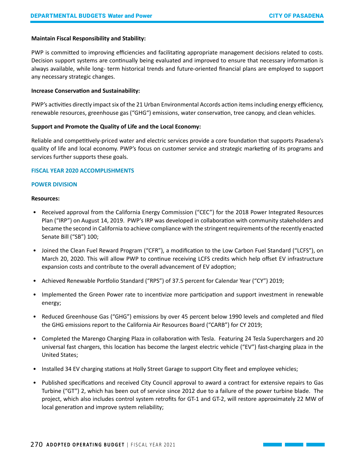### **Maintain Fiscal Responsibility and Stability:**

PWP is committed to improving efficiencies and facilitating appropriate management decisions related to costs. Decision support systems are continually being evaluated and improved to ensure that necessary information is always available, while long- term historical trends and future-oriented financial plans are employed to support any necessary strategic changes.

#### **Increase Conservation and Sustainability:**

PWP's activities directly impact six of the 21 Urban Environmental Accords action items including energy efficiency, renewable resources, greenhouse gas ("GHG") emissions, water conservation, tree canopy, and clean vehicles.

#### **Support and Promote the Quality of Life and the Local Economy:**

Reliable and competitively-priced water and electric services provide a core foundation that supports Pasadena's quality of life and local economy. PWP's focus on customer service and strategic marketing of its programs and services further supports these goals.

#### **FISCAL YEAR 2020 ACCOMPLISHMENTS**

#### **POWER DIVISION**

#### **Resources:**

- Received approval from the California Energy Commission ("CEC") for the 2018 Power Integrated Resources Plan ("IRP") on August 14, 2019. PWP's IRP was developed in collaboration with community stakeholders and became the second in California to achieve compliance with the stringent requirements of the recently enacted Senate Bill ("SB") 100;
- Joined the Clean Fuel Reward Program ("CFR"), a modification to the Low Carbon Fuel Standard ("LCFS"), on March 20, 2020. This will allow PWP to continue receiving LCFS credits which help offset EV infrastructure expansion costs and contribute to the overall advancement of EV adoption;
- Achieved Renewable Portfolio Standard ("RPS") of 37.5 percent for Calendar Year ("CY") 2019;
- Implemented the Green Power rate to incentivize more participation and support investment in renewable energy;
- Reduced Greenhouse Gas ("GHG") emissions by over 45 percent below 1990 levels and completed and filed the GHG emissions report to the California Air Resources Board ("CARB") for CY 2019;
- Completed the Marengo Charging Plaza in collaboration with Tesla. Featuring 24 Tesla Superchargers and 20 universal fast chargers, this location has become the largest electric vehicle ("EV") fast-charging plaza in the United States;
- Installed 34 EV charging stations at Holly Street Garage to support City fleet and employee vehicles;
- Published specifications and received City Council approval to award a contract for extensive repairs to Gas Turbine ("GT") 2, which has been out of service since 2012 due to a failure of the power turbine blade. The project, which also includes control system retrofits for GT-1 and GT-2, will restore approximately 22 MW of local generation and improve system reliability;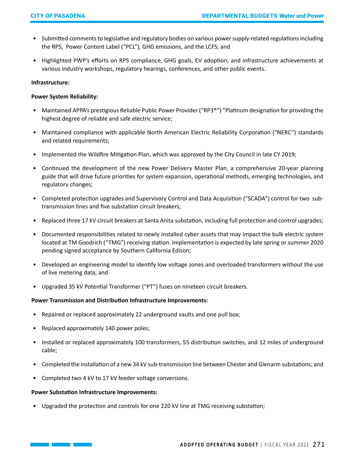- Submitted comments to legislative and regulatory bodies on various power supply-related regulations including the RPS, Power Content Label ("PCL"), GHG emissions, and the LCFS; and
- Highlighted PWP's efforts on RPS compliance, GHG goals, EV adoption, and infrastructure achievements at various industry workshops, regulatory hearings, conferences, and other public events.

### **Infrastructure:**

### **Power System Reliability:**

- Maintained APPA's prestigious Reliable Public Power Provider ("RP3®") "Platinum designation for providing the highest degree of reliable and safe electric service;
- Maintained compliance with applicable North American Electric Reliability Corporation ("NERC") standards and related requirements;
- Implemented the Wildfire Mitigation Plan, which was approved by the City Council in late CY 2019;
- Continued the development of the new Power Delivery Master Plan, a comprehensive 20-year planning guide that will drive future priorities for system expansion, operational methods, emerging technologies, and regulatory changes;
- Completed protection upgrades and Supervisory Control and Data Acquisition ("SCADA") control for two subtransmission lines and five substation circuit breakers;
- Replaced three 17 kV circuit breakers at Santa Anita substation, including full protection and control upgrades;
- Documented responsibilities related to newly installed cyber assets that may impact the bulk electric system located at TM Goodrich ("TMG") receiving station. Implementation is expected by late spring or summer 2020 pending signed acceptance by Southern California Edison;
- Developed an engineering model to identify low voltage zones and overloaded transformers without the use of live metering data; and
- Upgraded 35 kV Potential Transformer ("PT") fuses on nineteen circuit breakers.

# **Power Transmission and Distribution Infrastructure Improvements:**

- Repaired or replaced approximately 22 underground vaults and one pull box;
- Replaced approximately 140 power poles;
- Installed or replaced approximately 100 transformers, 55 distribution switches, and 12 miles of underground cable;
- Completed the installation of a new 34 kV sub-transmission line between Chester and Glenarm substations; and
- Completed two 4 kV to 17 kV feeder voltage conversions.

### **Power Substation Infrastructure Improvements:**

• Upgraded the protection and controls for one 220 kV line at TMG receiving substation;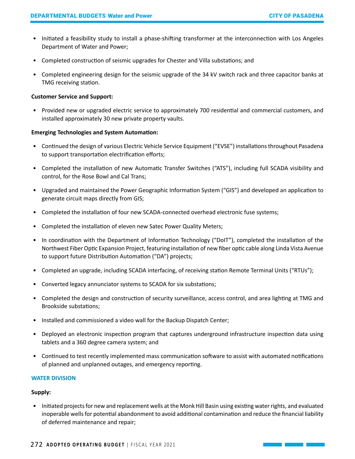- Initiated a feasibility study to install a phase-shifting transformer at the interconnection with Los Angeles Department of Water and Power;
- Completed construction of seismic upgrades for Chester and Villa substations; and
- Completed engineering design for the seismic upgrade of the 34 kV switch rack and three capacitor banks at TMG receiving station.

### **Customer Service and Support:**

• Provided new or upgraded electric service to approximately 700 residential and commercial customers, and installed approximately 30 new private property vaults.

### **Emerging Technologies and System Automation:**

- Continued the design of various Electric Vehicle Service Equipment ("EVSE") installations throughout Pasadena to support transportation electrification efforts;
- Completed the installation of new Automatic Transfer Switches ("ATS"), including full SCADA visibility and control, for the Rose Bowl and Cal Trans;
- Upgraded and maintained the Power Geographic Information System ("GIS") and developed an application to generate circuit maps directly from GIS;
- Completed the installation of four new SCADA-connected overhead electronic fuse systems;
- Completed the installation of eleven new Satec Power Quality Meters;
- In coordination with the Department of Information Technology ("DoIT"), completed the installation of the Northwest Fiber Optic Expansion Project, featuring installation of new fiber optic cable along Linda Vista Avenue to support future Distribution Automation ("DA") projects;
- Completed an upgrade, including SCADA interfacing, of receiving station Remote Terminal Units ("RTUs");
- Converted legacy annunciator systems to SCADA for six substations;
- Completed the design and construction of security surveillance, access control, and area lighting at TMG and Brookside substations;
- Installed and commissioned a video wall for the Backup Dispatch Center;
- Deployed an electronic inspection program that captures underground infrastructure inspection data using tablets and a 360 degree camera system; and
- Continued to test recently implemented mass communication software to assist with automated notifications of planned and unplanned outages, and emergency reporting.

#### **WATER DIVISION**

#### **Supply:**

• Initiated projects for new and replacement wells at the Monk Hill Basin using existing water rights, and evaluated inoperable wells for potential abandonment to avoid additional contamination and reduce the financial liability of deferred maintenance and repair;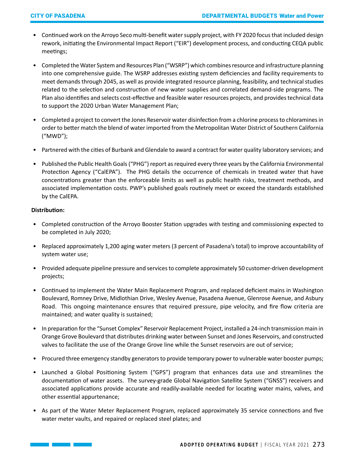- Continued work on the Arroyo Seco multi-benefit water supply project, with FY 2020 focus that included design rework, initiating the Environmental Impact Report ("EIR") development process, and conducting CEQA public meetings;
- Completed the Water System and Resources Plan ("WSRP") which combines resource and infrastructure planning into one comprehensive guide. The WSRP addresses existing system deficiencies and facility requirements to meet demands through 2045, as well as provide integrated resource planning, feasibility, and technical studies related to the selection and construction of new water supplies and correlated demand-side programs. The Plan also identifies and selects cost-effective and feasible water resources projects, and provides technical data to support the 2020 Urban Water Management Plan;
- Completed a project to convert the Jones Reservoir water disinfection from a chlorine process to chloramines in order to better match the blend of water imported from the Metropolitan Water District of Southern California ("MWD");
- Partnered with the cities of Burbank and Glendale to award a contract for water quality laboratory services; and
- Published the Public Health Goals ("PHG") report as required every three years by the California Environmental Protection Agency ("CalEPA"). The PHG details the occurrence of chemicals in treated water that have concentrations greater than the enforceable limits as well as public health risks, treatment methods, and associated implementation costs. PWP's published goals routinely meet or exceed the standards established by the CalEPA.

### **Distribution:**

- Completed construction of the Arroyo Booster Station upgrades with testing and commissioning expected to be completed in July 2020;
- Replaced approximately 1,200 aging water meters (3 percent of Pasadena's total) to improve accountability of system water use;
- Provided adequate pipeline pressure and services to complete approximately 50 customer-driven development projects;
- Continued to implement the Water Main Replacement Program, and replaced deficient mains in Washington Boulevard, Romney Drive, Midlothian Drive, Wesley Avenue, Pasadena Avenue, Glenrose Avenue, and Asbury Road. This ongoing maintenance ensures that required pressure, pipe velocity, and fire flow criteria are maintained; and water quality is sustained;
- In preparation for the "Sunset Complex" Reservoir Replacement Project, installed a 24-inch transmission main in Orange Grove Boulevard that distributes drinking water between Sunset and Jones Reservoirs, and constructed valves to facilitate the use of the Orange Grove line while the Sunset reservoirs are out of service;
- Procured three emergency standby generators to provide temporary power to vulnerable water booster pumps;
- Launched a Global Positioning System ("GPS") program that enhances data use and streamlines the documentation of water assets. The survey-grade Global Navigation Satellite System ("GNSS") receivers and associated applications provide accurate and readily-available needed for locating water mains, valves, and other essential appurtenance;
- As part of the Water Meter Replacement Program, replaced approximately 35 service connections and five water meter vaults, and repaired or replaced steel plates; and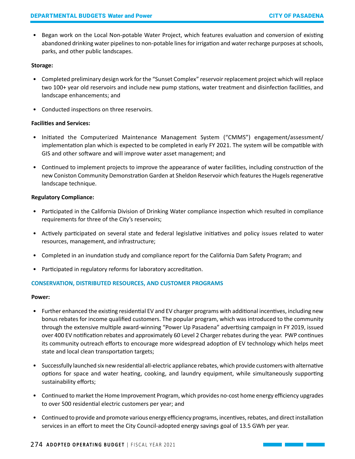• Began work on the Local Non-potable Water Project, which features evaluation and conversion of existing abandoned drinking water pipelines to non-potable lines for irrigation and water recharge purposes at schools, parks, and other public landscapes.

# **Storage:**

- Completed preliminary design work for the "Sunset Complex" reservoir replacement project which will replace two 100+ year old reservoirs and include new pump stations, water treatment and disinfection facilities, and landscape enhancements; and
- Conducted inspections on three reservoirs.

# **Facilities and Services:**

- Initiated the Computerized Maintenance Management System ("CMMS") engagement/assessment/ implementation plan which is expected to be completed in early FY 2021. The system will be compatible with GIS and other software and will improve water asset management; and
- Continued to implement projects to improve the appearance of water facilities, including construction of the new Coniston Community Demonstration Garden at Sheldon Reservoir which features the Hugels regenerative landscape technique.

# **Regulatory Compliance:**

- Participated in the California Division of Drinking Water compliance inspection which resulted in compliance requirements for three of the City's reservoirs;
- Actively participated on several state and federal legislative initiatives and policy issues related to water resources, management, and infrastructure;
- Completed in an inundation study and compliance report for the California Dam Safety Program; and
- Participated in regulatory reforms for laboratory accreditation.

# **CONSERVATION, DISTRIBUTED RESOURCES, AND CUSTOMER PROGRAMS**

### **Power:**

- Further enhanced the existing residential EV and EV charger programs with additional incentives, including new bonus rebates for income qualified customers. The popular program, which was introduced to the community through the extensive multiple award-winning "Power Up Pasadena" advertising campaign in FY 2019, issued over 400 EV notification rebates and approximately 60 Level 2 Charger rebates during the year. PWP continues its community outreach efforts to encourage more widespread adoption of EV technology which helps meet state and local clean transportation targets;
- Successfully launched six new residential all-electric appliance rebates, which provide customers with alternative options for space and water heating, cooking, and laundry equipment, while simultaneously supporting sustainability efforts;
- Continued to market the Home Improvement Program, which provides no-cost home energy efficiency upgrades to over 500 residential electric customers per year; and
- Continued to provide and promote various energy efficiency programs, incentives, rebates, and direct installation services in an effort to meet the City Council-adopted energy savings goal of 13.5 GWh per year.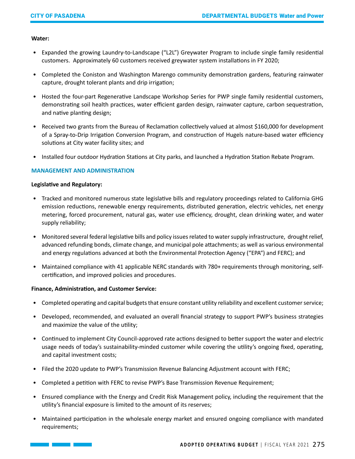#### **Water:**

- Expanded the growing Laundry-to-Landscape ("L2L") Greywater Program to include single family residential customers. Approximately 60 customers received greywater system installations in FY 2020;
- Completed the Coniston and Washington Marengo community demonstration gardens, featuring rainwater capture, drought tolerant plants and drip irrigation;
- Hosted the four-part Regenerative Landscape Workshop Series for PWP single family residential customers, demonstrating soil health practices, water efficient garden design, rainwater capture, carbon sequestration, and native planting design;
- Received two grants from the Bureau of Reclamation collectively valued at almost \$160,000 for development of a Spray-to-Drip Irrigation Conversion Program, and construction of Hugels nature-based water efficiency solutions at City water facility sites; and
- Installed four outdoor Hydration Stations at City parks, and launched a Hydration Station Rebate Program.

# **MANAGEMENT AND ADMINISTRATION**

#### **Legislative and Regulatory:**

- Tracked and monitored numerous state legislative bills and regulatory proceedings related to California GHG emission reductions, renewable energy requirements, distributed generation, electric vehicles, net energy metering, forced procurement, natural gas, water use efficiency, drought, clean drinking water, and water supply reliability;
- Monitored several federal legislative bills and policy issues related to water supply infrastructure, drought relief, advanced refunding bonds, climate change, and municipal pole attachments; as well as various environmental and energy regulations advanced at both the Environmental Protection Agency ("EPA") and FERC); and
- Maintained compliance with 41 applicable NERC standards with 780+ requirements through monitoring, selfcertification, and improved policies and procedures.

### **Finance, Administration, and Customer Service:**

- Completed operating and capital budgets that ensure constant utility reliability and excellent customer service;
- Developed, recommended, and evaluated an overall financial strategy to support PWP's business strategies and maximize the value of the utility;
- Continued to implement City Council-approved rate actions designed to better support the water and electric usage needs of today's sustainability-minded customer while covering the utility's ongoing fixed, operating, and capital investment costs;
- Filed the 2020 update to PWP's Transmission Revenue Balancing Adjustment account with FERC;
- Completed a petition with FERC to revise PWP's Base Transmission Revenue Requirement;
- Ensured compliance with the Energy and Credit Risk Management policy, including the requirement that the utility's financial exposure is limited to the amount of its reserves;
- Maintained participation in the wholesale energy market and ensured ongoing compliance with mandated requirements;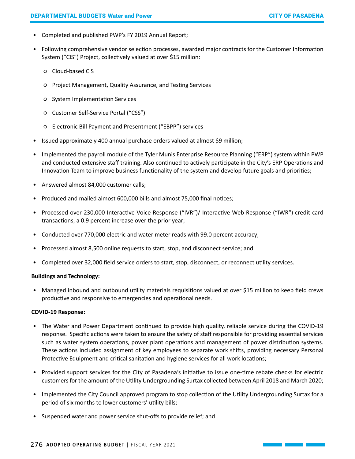- Completed and published PWP's FY 2019 Annual Report;
- Following comprehensive vendor selection processes, awarded major contracts for the Customer Information System ("CIS") Project, collectively valued at over \$15 million:
	- Cloud-based CIS
	- Project Management, Quality Assurance, and Testing Services
	- System Implementation Services
	- Customer Self-Service Portal ("CSS")
	- Electronic Bill Payment and Presentment ("EBPP") services
- Issued approximately 400 annual purchase orders valued at almost \$9 million;
- Implemented the payroll module of the Tyler Munis Enterprise Resource Planning ("ERP") system within PWP and conducted extensive staff training. Also continued to actively participate in the City's ERP Operations and Innovation Team to improve business functionality of the system and develop future goals and priorities;
- Answered almost 84,000 customer calls;
- Produced and mailed almost 600,000 bills and almost 75,000 final notices;
- Processed over 230,000 Interactive Voice Response ("IVR")/ Interactive Web Response ("IWR") credit card transactions, a 0.9 percent increase over the prior year;
- Conducted over 770,000 electric and water meter reads with 99.0 percent accuracy;
- Processed almost 8,500 online requests to start, stop, and disconnect service; and
- Completed over 32,000 field service orders to start, stop, disconnect, or reconnect utility services.

### **Buildings and Technology:**

• Managed inbound and outbound utility materials requisitions valued at over \$15 million to keep field crews productive and responsive to emergencies and operational needs.

### **COVID-19 Response:**

- The Water and Power Department continued to provide high quality, reliable service during the COVID-19 response. Specific actions were taken to ensure the safety of staff responsible for providing essential services such as water system operations, power plant operations and management of power distribution systems. These actions included assignment of key employees to separate work shifts, providing necessary Personal Protective Equipment and critical sanitation and hygiene services for all work locations;
- Provided support services for the City of Pasadena's initiative to issue one-time rebate checks for electric customers for the amount of the Utility Undergrounding Surtax collected between April 2018 and March 2020;
- Implemented the City Council approved program to stop collection of the Utility Undergrounding Surtax for a period of six months to lower customers' utility bills;
- Suspended water and power service shut-offs to provide relief; and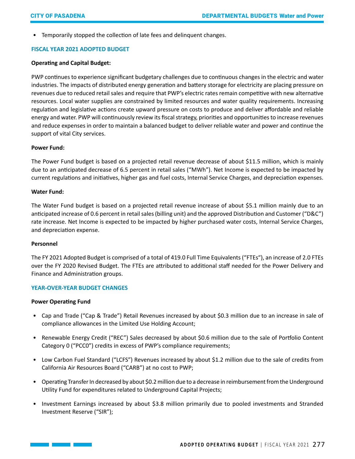• Temporarily stopped the collection of late fees and delinquent changes.

# **FISCAL YEAR 2021 ADOPTED BUDGET**

#### **Operating and Capital Budget:**

PWP continues to experience significant budgetary challenges due to continuous changes in the electric and water industries. The impacts of distributed energy generation and battery storage for electricity are placing pressure on revenues due to reduced retail sales and require that PWP's electric rates remain competitive with new alternative resources. Local water supplies are constrained by limited resources and water quality requirements. Increasing regulation and legislative actions create upward pressure on costs to produce and deliver affordable and reliable energy and water. PWP will continuously review its fiscal strategy, priorities and opportunities to increase revenues and reduce expenses in order to maintain a balanced budget to deliver reliable water and power and continue the support of vital City services.

#### **Power Fund:**

The Power Fund budget is based on a projected retail revenue decrease of about \$11.5 million, which is mainly due to an anticipated decrease of 6.5 percent in retail sales ("MWh"). Net Income is expected to be impacted by current regulations and initiatives, higher gas and fuel costs, Internal Service Charges, and depreciation expenses.

#### **Water Fund:**

The Water Fund budget is based on a projected retail revenue increase of about \$5.1 million mainly due to an anticipated increase of 0.6 percent in retail sales (billing unit) and the approved Distribution and Customer ("D&C") rate increase. Net Income is expected to be impacted by higher purchased water costs, Internal Service Charges, and depreciation expense.

#### **Personnel**

The FY 2021 Adopted Budget is comprised of a total of 419.0 Full Time Equivalents ("FTEs"), an increase of 2.0 FTEs over the FY 2020 Revised Budget. The FTEs are attributed to additional staff needed for the Power Delivery and Finance and Administration groups.

### **YEAR-OVER-YEAR BUDGET CHANGES**

#### **Power Operating Fund**

- Cap and Trade ("Cap & Trade") Retail Revenues increased by about \$0.3 million due to an increase in sale of compliance allowances in the Limited Use Holding Account;
- Renewable Energy Credit ("REC") Sales decreased by about \$0.6 million due to the sale of Portfolio Content Category 0 ("PCC0") credits in excess of PWP's compliance requirements;
- Low Carbon Fuel Standard ("LCFS") Revenues increased by about \$1.2 million due to the sale of credits from California Air Resources Board ("CARB") at no cost to PWP;
- Operating Transfer In decreased by about \$0.2 million due to a decrease in reimbursement from the Underground Utility Fund for expenditures related to Underground Capital Projects;
- Investment Earnings increased by about \$3.8 million primarily due to pooled investments and Stranded Investment Reserve ("SIR");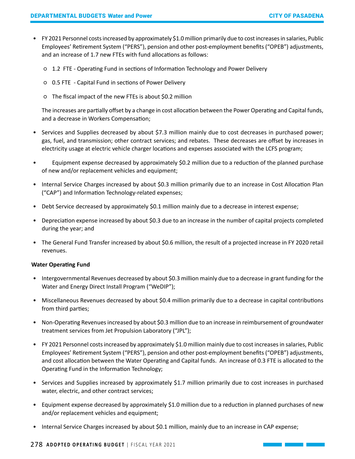- FY 2021 Personnel costs increased by approximately \$1.0 million primarily due to cost increases in salaries, Public Employees' Retirement System ("PERS"), pension and other post-employment benefits ("OPEB") adjustments, and an increase of 1.7 new FTEs with fund allocations as follows:
	- 1.2 FTE Operating Fund in sections of Information Technology and Power Delivery
	- 0.5 FTE Capital Fund in sections of Power Delivery
	- The fiscal impact of the new FTEs is about \$0.2 million

The increases are partially offset by a change in cost allocation between the Power Operating and Capital funds, and a decrease in Workers Compensation;

- Services and Supplies decreased by about \$7.3 million mainly due to cost decreases in purchased power; gas, fuel, and transmission; other contract services; and rebates. These decreases are offset by increases in electricity usage at electric vehicle charger locations and expenses associated with the LCFS program;
- Equipment expense decreased by approximately \$0.2 million due to a reduction of the planned purchase of new and/or replacement vehicles and equipment;
- Internal Service Charges increased by about \$0.3 million primarily due to an increase in Cost Allocation Plan ("CAP") and Information Technology-related expenses;
- Debt Service decreased by approximately \$0.1 million mainly due to a decrease in interest expense;
- Depreciation expense increased by about \$0.3 due to an increase in the number of capital projects completed during the year; and
- The General Fund Transfer increased by about \$0.6 million, the result of a projected increase in FY 2020 retail revenues.

### **Water Operating Fund**

- Intergovernmental Revenues decreased by about \$0.3 million mainly due to a decrease in grant funding for the Water and Energy Direct Install Program ("WeDIP");
- Miscellaneous Revenues decreased by about \$0.4 million primarily due to a decrease in capital contributions from third parties;
- Non-Operating Revenues increased by about \$0.3 million due to an increase in reimbursement of groundwater treatment services from Jet Propulsion Laboratory ("JPL");
- FY 2021 Personnel costs increased by approximately \$1.0 million mainly due to cost increases in salaries, Public Employees' Retirement System ("PERS"), pension and other post-employment benefits ("OPEB") adjustments, and cost allocation between the Water Operating and Capital funds. An increase of 0.3 FTE is allocated to the Operating Fund in the Information Technology;
- Services and Supplies increased by approximately \$1.7 million primarily due to cost increases in purchased water, electric, and other contract services;
- Equipment expense decreased by approximately \$1.0 million due to a reduction in planned purchases of new and/or replacement vehicles and equipment;
- Internal Service Charges increased by about \$0.1 million, mainly due to an increase in CAP expense;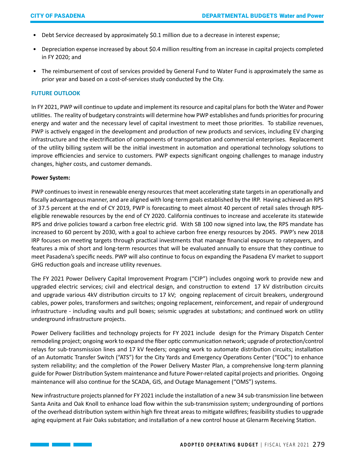- Debt Service decreased by approximately \$0.1 million due to a decrease in interest expense;
- Depreciation expense increased by about \$0.4 million resulting from an increase in capital projects completed in FY 2020; and
- The reimbursement of cost of services provided by General Fund to Water Fund is approximately the same as prior year and based on a cost-of-services study conducted by the City.

### **FUTURE OUTLOOK**

In FY 2021, PWP will continue to update and implement its resource and capital plans for both the Water and Power utilities. The reality of budgetary constraints will determine how PWP establishes and funds priorities for procuring energy and water and the necessary level of capital investment to meet those priorities. To stabilize revenues, PWP is actively engaged in the development and production of new products and services, including EV charging infrastructure and the electrification of components of transportation and commercial enterprises. Replacement of the utility billing system will be the initial investment in automation and operational technology solutions to improve efficiencies and service to customers. PWP expects significant ongoing challenges to manage industry changes, higher costs, and customer demands.

#### **Power System:**

PWP continues to invest in renewable energy resources that meet accelerating state targets in an operationally and fiscally advantageous manner, and are aligned with long-term goals established by the IRP. Having achieved an RPS of 37.5 percent at the end of CY 2019, PWP is forecasting to meet almost 40 percent of retail sales through RPSeligible renewable resources by the end of CY 2020. California continues to increase and accelerate its statewide RPS and drive policies toward a carbon free electric grid. With SB 100 now signed into law, the RPS mandate has increased to 60 percent by 2030, with a goal to achieve carbon free energy resources by 2045. PWP's new 2018 IRP focuses on meeting targets through practical investments that manage financial exposure to ratepayers, and features a mix of short and long-term resources that will be evaluated annually to ensure that they continue to meet Pasadena's specific needs. PWP will also continue to focus on expanding the Pasadena EV market to support GHG reduction goals and increase utility revenues.

The FY 2021 Power Delivery Capital Improvement Program ("CIP") includes ongoing work to provide new and upgraded electric services; civil and electrical design, and construction to extend 17 kV distribution circuits and upgrade various 4kV distribution circuits to 17 kV; ongoing replacement of circuit breakers, underground cables, power poles, transformers and switches; ongoing replacement, reinforcement, and repair of underground infrastructure - including vaults and pull boxes; seismic upgrades at substations; and continued work on utility underground infrastructure projects.

Power Delivery facilities and technology projects for FY 2021 include design for the Primary Dispatch Center remodeling project; ongoing work to expand the fiber optic communication network; upgrade of protection/control relays for sub-transmission lines and 17 kV feeders; ongoing work to automate distribution circuits; installation of an Automatic Transfer Switch ("ATS") for the City Yards and Emergency Operations Center ("EOC") to enhance system reliability; and the completion of the Power Delivery Master Plan, a comprehensive long-term planning guide for Power Distribution System maintenance and future Power-related capital projects and priorities. Ongoing maintenance will also continue for the SCADA, GIS, and Outage Management ("OMS") systems.

New infrastructure projects planned for FY 2021 include the installation of a new 34 sub-transmission line between Santa Anita and Oak Knoll to enhance load flow within the sub-transmission system; undergrounding of portions of the overhead distribution system within high fire threat areas to mitigate wildfires; feasibility studies to upgrade aging equipment at Fair Oaks substation; and installation of a new control house at Glenarm Receiving Station.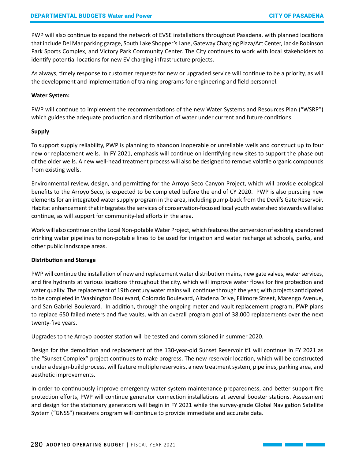PWP will also continue to expand the network of EVSE installations throughout Pasadena, with planned locations that include Del Mar parking garage, South Lake Shopper's Lane, Gateway Charging Plaza/Art Center, Jackie Robinson Park Sports Complex, and Victory Park Community Center. The City continues to work with local stakeholders to identify potential locations for new EV charging infrastructure projects.

As always, timely response to customer requests for new or upgraded service will continue to be a priority, as will the development and implementation of training programs for engineering and field personnel.

#### **Water System:**

PWP will continue to implement the recommendations of the new Water Systems and Resources Plan ("WSRP") which guides the adequate production and distribution of water under current and future conditions.

#### **Supply**

To support supply reliability, PWP is planning to abandon inoperable or unreliable wells and construct up to four new or replacement wells. In FY 2021, emphasis will continue on identifying new sites to support the phase out of the older wells. A new well-head treatment process will also be designed to remove volatile organic compounds from existing wells.

Environmental review, design, and permitting for the Arroyo Seco Canyon Project, which will provide ecological benefits to the Arroyo Seco, is expected to be completed before the end of CY 2020. PWP is also pursuing new elements for an integrated water supply program in the area, including pump-back from the Devil's Gate Reservoir. Habitat enhancement that integrates the services of conservation-focused local youth watershed stewards will also continue, as will support for community-led efforts in the area.

Work will also continue on the Local Non-potable Water Project, which features the conversion of existing abandoned drinking water pipelines to non-potable lines to be used for irrigation and water recharge at schools, parks, and other public landscape areas.

### **Distribution and Storage**

PWP will continue the installation of new and replacement water distribution mains, new gate valves, water services, and fire hydrants at various locations throughout the city, which will improve water flows for fire protection and water quality. The replacement of 19th century water mains will continue through the year, with projects anticipated to be completed in Washington Boulevard, Colorado Boulevard, Altadena Drive, Fillmore Street, Marengo Avenue, and San Gabriel Boulevard. In addition, through the ongoing meter and vault replacement program, PWP plans to replace 650 failed meters and five vaults, with an overall program goal of 38,000 replacements over the next twenty-five years.

Upgrades to the Arroyo booster station will be tested and commissioned in summer 2020.

Design for the demolition and replacement of the 130-year-old Sunset Reservoir #1 will continue in FY 2021 as the "Sunset Complex" project continues to make progress. The new reservoir location, which will be constructed under a design-build process, will feature multiple reservoirs, a new treatment system, pipelines, parking area, and aesthetic improvements.

In order to continuously improve emergency water system maintenance preparedness, and better support fire protection efforts, PWP will continue generator connection installations at several booster stations. Assessment and design for the stationary generators will begin in FY 2021 while the survey-grade Global Navigation Satellite System ("GNSS") receivers program will continue to provide immediate and accurate data.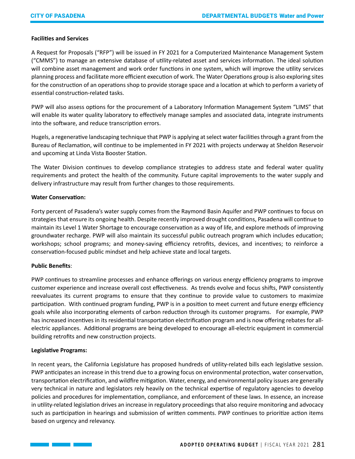# **Facilities and Services**

A Request for Proposals ("RFP") will be issued in FY 2021 for a Computerized Maintenance Management System ("CMMS") to manage an extensive database of utility-related asset and services information. The ideal solution will combine asset management and work order functions in one system, which will improve the utility services planning process and facilitate more efficient execution of work. The Water Operations group is also exploring sites for the construction of an operations shop to provide storage space and a location at which to perform a variety of essential construction-related tasks.

PWP will also assess options for the procurement of a Laboratory Information Management System "LIMS" that will enable its water quality laboratory to effectively manage samples and associated data, integrate instruments into the software, and reduce transcription errors.

Hugels, a regenerative landscaping technique that PWP is applying at select water facilities through a grant from the Bureau of Reclamation, will continue to be implemented in FY 2021 with projects underway at Sheldon Reservoir and upcoming at Linda Vista Booster Station.

The Water Division continues to develop compliance strategies to address state and federal water quality requirements and protect the health of the community. Future capital improvements to the water supply and delivery infrastructure may result from further changes to those requirements.

# **Water Conservation:**

Forty percent of Pasadena's water supply comes from the Raymond Basin Aquifer and PWP continues to focus on strategies that ensure its ongoing health. Despite recently improved drought conditions, Pasadena will continue to maintain its Level 1 Water Shortage to encourage conservation as a way of life, and explore methods of improving groundwater recharge. PWP will also maintain its successful public outreach program which includes education; workshops; school programs; and money-saving efficiency retrofits, devices, and incentives; to reinforce a conservation-focused public mindset and help achieve state and local targets.

# **Public Benefits**:

PWP continues to streamline processes and enhance offerings on various energy efficiency programs to improve customer experience and increase overall cost effectiveness. As trends evolve and focus shifts, PWP consistently reevaluates its current programs to ensure that they continue to provide value to customers to maximize participation. With continued program funding, PWP is in a position to meet current and future energy efficiency goals while also incorporating elements of carbon reduction through its customer programs. For example, PWP has increased incentives in its residential transportation electrification program and is now offering rebates for allelectric appliances. Additional programs are being developed to encourage all-electric equipment in commercial building retrofits and new construction projects.

### **Legislative Programs:**

In recent years, the California Legislature has proposed hundreds of utility-related bills each legislative session. PWP anticipates an increase in this trend due to a growing focus on environmental protection, water conservation, transportation electrification, and wildfire mitigation. Water, energy, and environmental policy issues are generally very technical in nature and legislators rely heavily on the technical expertise of regulatory agencies to develop policies and procedures for implementation, compliance, and enforcement of these laws. In essence, an increase in utility-related legislation drives an increase in regulatory proceedings that also require monitoring and advocacy such as participation in hearings and submission of written comments. PWP continues to prioritize action items based on urgency and relevancy.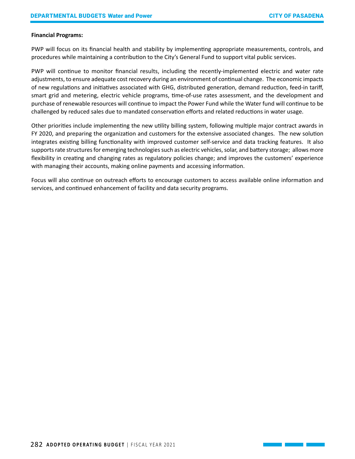#### **Financial Programs:**

PWP will focus on its financial health and stability by implementing appropriate measurements, controls, and procedures while maintaining a contribution to the City's General Fund to support vital public services.

PWP will continue to monitor financial results, including the recently-implemented electric and water rate adjustments, to ensure adequate cost recovery during an environment of continual change. The economic impacts of new regulations and initiatives associated with GHG, distributed generation, demand reduction, feed-in tariff, smart grid and metering, electric vehicle programs, time-of-use rates assessment, and the development and purchase of renewable resources will continue to impact the Power Fund while the Water fund will continue to be challenged by reduced sales due to mandated conservation efforts and related reductions in water usage.

Other priorities include implementing the new utility billing system, following multiple major contract awards in FY 2020, and preparing the organization and customers for the extensive associated changes. The new solution integrates existing billing functionality with improved customer self-service and data tracking features. It also supports rate structures for emerging technologies such as electric vehicles, solar, and battery storage; allows more flexibility in creating and changing rates as regulatory policies change; and improves the customers' experience with managing their accounts, making online payments and accessing information.

Focus will also continue on outreach efforts to encourage customers to access available online information and services, and continued enhancement of facility and data security programs.